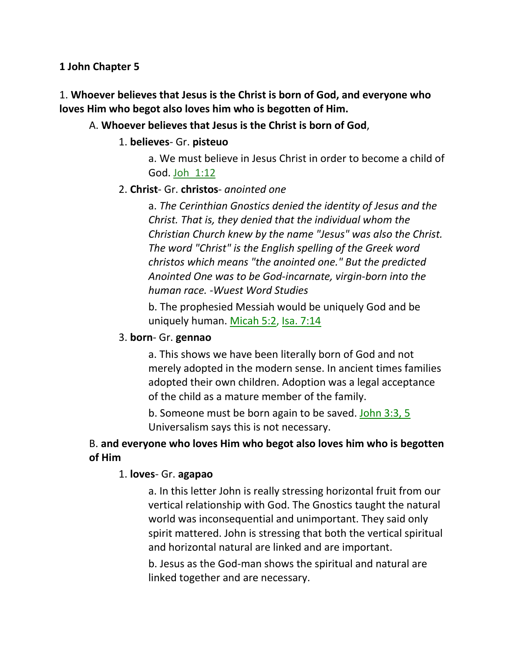### **1 John Chapter 5**

# 1. **Whoever believes that Jesus is the Christ is born of God, and everyone who loves Him who begot also loves him who is begotten of Him.**

### A. **Whoever believes that Jesus is the Christ is born of God**,

### 1. **believes**- Gr. **pisteuo**

a. We must believe in Jesus Christ in order to become a child of God. Joh\_1:12

### 2. **Christ**- Gr. **christos**- *anointed one*

a. *The Cerinthian Gnostics denied the identity of Jesus and the Christ. That is, they denied that the individual whom the Christian Church knew by the name "Jesus" was also the Christ. The word "Christ" is the English spelling of the Greek word christos which means "the anointed one." But the predicted Anointed One was to be God-incarnate, virgin-born into the human race. -Wuest Word Studies* 

b. The prophesied Messiah would be uniquely God and be uniquely human. Micah 5:2, Isa. 7:14

## 3. **born**- Gr. **gennao**

a. This shows we have been literally born of God and not merely adopted in the modern sense. In ancient times families adopted their own children. Adoption was a legal acceptance of the child as a mature member of the family.

b. Someone must be born again to be saved. John 3:3, 5 Universalism says this is not necessary.

# B. **and everyone who loves Him who begot also loves him who is begotten of Him**

## 1. **loves**- Gr. **agapao**

a. In this letter John is really stressing horizontal fruit from our vertical relationship with God. The Gnostics taught the natural world was inconsequential and unimportant. They said only spirit mattered. John is stressing that both the vertical spiritual and horizontal natural are linked and are important.

b. Jesus as the God-man shows the spiritual and natural are linked together and are necessary.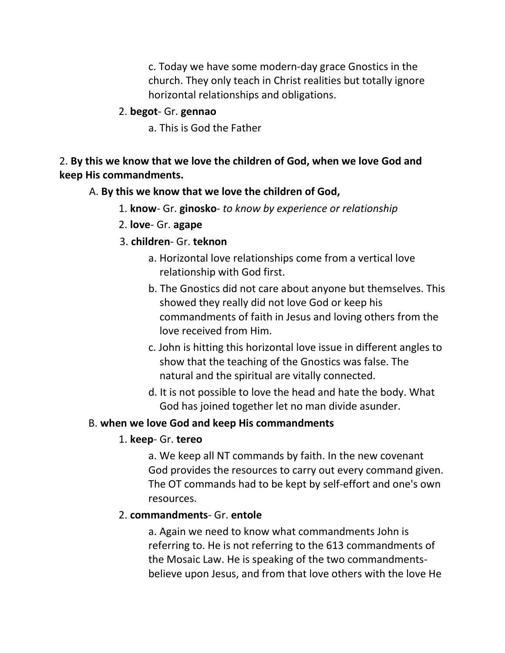c. Today we have some modern-day grace Gnostics in the church. They only teach in Christ realities but totally ignore horizontal relationships and obligations.

## 2. **begot**- Gr. **gennao**

a. This is God the Father

# 2. **By this we know that we love the children of God, when we love God and keep His commandments.**

## A. **By this we know that we love the children of God,**

- 1. **know** Gr. **ginosko** *to know by experience or relationship*
- 2. **love** Gr. **agape**
- 3. **children** Gr. **teknon**
	- a. Horizontal love relationships come from a vertical love relationship with God first.
	- b. The Gnostics did not care about anyone but themselves. This showed they really did not love God or keep his commandments of faith in Jesus and loving others from the love received from Him.
	- c. John is hitting this horizontal love issue in different angles to show that the teaching of the Gnostics was false. The natural and the spiritual are vitally connected.
	- d. It is not possible to love the head and hate the body. What God has joined together let no man divide asunder.

# B. **when we love God and keep His commandments**

# 1. **keep**- Gr. **tereo**

a. We keep all NT commands by faith. In the new covenant God provides the resources to carry out every command given. The OT commands had to be kept by self-effort and one's own resources.

# 2. **commandments**- Gr. **entole**

a. Again we need to know what commandments John is referring to. He is not referring to the 613 commandments of the Mosaic Law. He is speaking of the two commandmentsbelieve upon Jesus, and from that love others with the love He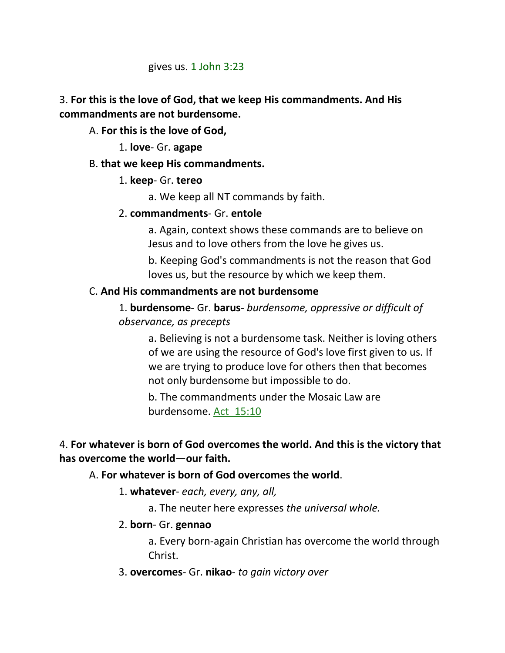### gives us.  $1$  John  $3:23$

## 3. **For this is the love of God, that we keep His commandments. And His commandments are not burdensome.**

A. **For this is the love of God,**

### 1. **love**- Gr. **agape**

## B. **that we keep His commandments.**

## 1. **keep**- Gr. **tereo**

a. We keep all NT commands by faith.

### 2. **commandments**- Gr. **entole**

a. Again, context shows these commands are to believe on Jesus and to love others from the love he gives us.

b. Keeping God's commandments is not the reason that God loves us, but the resource by which we keep them.

### C. **And His commandments are not burdensome**

1. **burdensome**- Gr. **barus**- *burdensome, oppressive or difficult of observance, as precepts*

a. Believing is not a burdensome task. Neither is loving others of we are using the resource of God's love first given to us. If we are trying to produce love for others then that becomes not only burdensome but impossible to do.

b. The commandments under the Mosaic Law are burdensome. Act\_15:10

## 4. **For whatever is born of God overcomes the world. And this is the victory that has overcome the world—our faith.**

## A. **For whatever is born of God overcomes the world**.

1. **whatever**- *each, every, any, all,* 

a. The neuter here expresses *the universal whole.*

### 2. **born**- Gr. **gennao**

a. Every born-again Christian has overcome the world through Christ.

3. **overcomes**- Gr. **nikao**- *to gain victory over*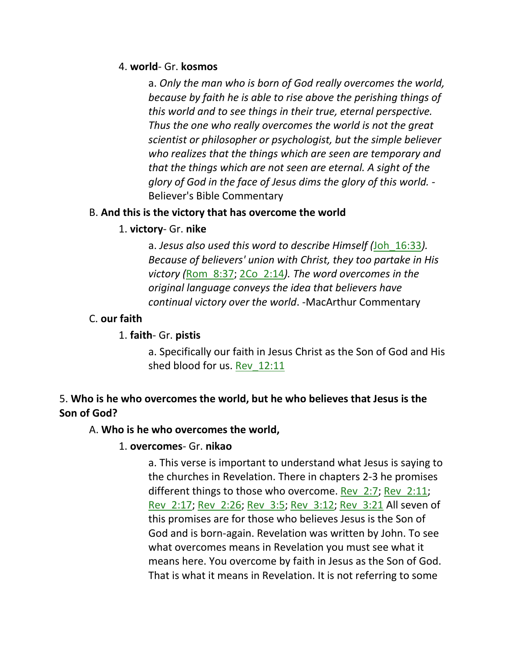### 4. **world**- Gr. **kosmos**

a. *Only the man who is born of God really overcomes the world, because by faith he is able to rise above the perishing things of this world and to see things in their true, eternal perspective. Thus the one who really overcomes the world is not the great scientist or philosopher or psychologist, but the simple believer who realizes that the things which are seen are temporary and that the things which are not seen are eternal. A sight of the glory of God in the face of Jesus dims the glory of this world. -* Believer's Bible Commentary

## B. **And this is the victory that has overcome the world**

## 1. **victory**- Gr. **nike**

a. *Jesus also used this word to describe Himself (*Joh\_16:33*). Because of believers' union with Christ, they too partake in His victory (*Rom\_8:37; 2Co\_2:14*). The word overcomes in the original language conveys the idea that believers have continual victory over the world*. -MacArthur Commentary

# C. **our faith**

# 1. **faith**- Gr. **pistis**

a. Specifically our faith in Jesus Christ as the Son of God and His shed blood for us. Rev\_12:11

# 5. **Who is he who overcomes the world, but he who believes that Jesus is the Son of God?**

# A. **Who is he who overcomes the world,**

## 1. **overcomes**- Gr. **nikao**

a. This verse is important to understand what Jesus is saying to the churches in Revelation. There in chapters 2-3 he promises different things to those who overcome. Rev\_2:7; Rev\_2:11; Rev\_2:17; Rev\_2:26; Rev\_3:5; Rev\_3:12; Rev\_3:21 All seven of this promises are for those who believes Jesus is the Son of God and is born-again. Revelation was written by John. To see what overcomes means in Revelation you must see what it means here. You overcome by faith in Jesus as the Son of God. That is what it means in Revelation. It is not referring to some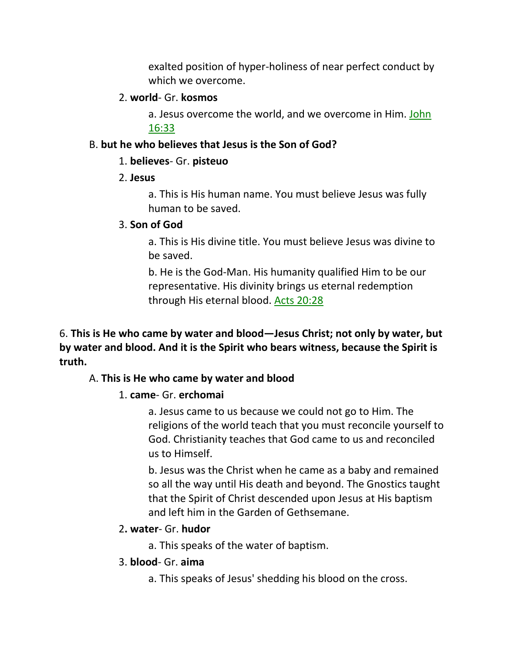exalted position of hyper-holiness of near perfect conduct by which we overcome.

### 2. **world**- Gr. **kosmos**

a. Jesus overcome the world, and we overcome in Him. John 16:33

## B. **but he who believes that Jesus is the Son of God?**

## 1. **believes**- Gr. **pisteuo**

## 2. **Jesus**

a. This is His human name. You must believe Jesus was fully human to be saved.

## 3. **Son of God**

a. This is His divine title. You must believe Jesus was divine to be saved.

b. He is the God-Man. His humanity qualified Him to be our representative. His divinity brings us eternal redemption through His eternal blood. Acts 20:28

6. **This is He who came by water and blood—Jesus Christ; not only by water, but by water and blood. And it is the Spirit who bears witness, because the Spirit is truth.** 

# A. **This is He who came by water and blood**

# 1. **came**- Gr. **erchomai**

a. Jesus came to us because we could not go to Him. The religions of the world teach that you must reconcile yourself to God. Christianity teaches that God came to us and reconciled us to Himself.

b. Jesus was the Christ when he came as a baby and remained so all the way until His death and beyond. The Gnostics taught that the Spirit of Christ descended upon Jesus at His baptism and left him in the Garden of Gethsemane.

# 2**. water**- Gr. **hudor**

a. This speaks of the water of baptism.

## 3. **blood**- Gr. **aima**

a. This speaks of Jesus' shedding his blood on the cross.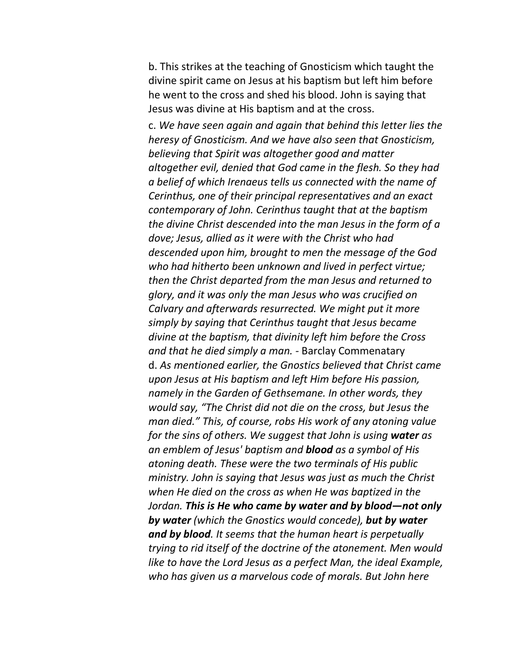b. This strikes at the teaching of Gnosticism which taught the divine spirit came on Jesus at his baptism but left him before he went to the cross and shed his blood. John is saying that Jesus was divine at His baptism and at the cross.

c. *We have seen again and again that behind this letter lies the heresy of Gnosticism. And we have also seen that Gnosticism, believing that Spirit was altogether good and matter altogether evil, denied that God came in the flesh. So they had a belief of which Irenaeus tells us connected with the name of Cerinthus, one of their principal representatives and an exact contemporary of John. Cerinthus taught that at the baptism the divine Christ descended into the man Jesus in the form of a dove; Jesus, allied as it were with the Christ who had descended upon him, brought to men the message of the God who had hitherto been unknown and lived in perfect virtue; then the Christ departed from the man Jesus and returned to glory, and it was only the man Jesus who was crucified on Calvary and afterwards resurrected. We might put it more simply by saying that Cerinthus taught that Jesus became divine at the baptism, that divinity left him before the Cross and that he died simply a man. -* Barclay Commenatary d. *As mentioned earlier, the Gnostics believed that Christ came upon Jesus at His baptism and left Him before His passion, namely in the Garden of Gethsemane. In other words, they would say, "The Christ did not die on the cross, but Jesus the man died." This, of course, robs His work of any atoning value for the sins of others. We suggest that John is using water as an emblem of Jesus' baptism and blood as a symbol of His atoning death. These were the two terminals of His public ministry. John is saying that Jesus was just as much the Christ when He died on the cross as when He was baptized in the Jordan. This is He who came by water and by blood—not only by water (which the Gnostics would concede), but by water and by blood. It seems that the human heart is perpetually trying to rid itself of the doctrine of the atonement. Men would like to have the Lord Jesus as a perfect Man, the ideal Example, who has given us a marvelous code of morals. But John here*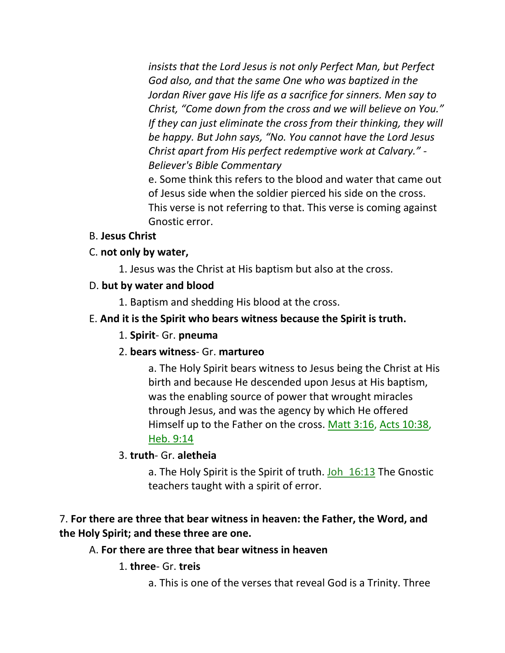*insists that the Lord Jesus is not only Perfect Man, but Perfect God also, and that the same One who was baptized in the Jordan River gave His life as a sacrifice for sinners. Men say to Christ, "Come down from the cross and we will believe on You." If they can just eliminate the cross from their thinking, they will be happy. But John says, "No. You cannot have the Lord Jesus Christ apart from His perfect redemptive work at Calvary." - Believer's Bible Commentary*

e. Some think this refers to the blood and water that came out of Jesus side when the soldier pierced his side on the cross. This verse is not referring to that. This verse is coming against Gnostic error.

## B. **Jesus Christ**

## C. **not only by water,**

1. Jesus was the Christ at His baptism but also at the cross.

## D. **but by water and blood**

1. Baptism and shedding His blood at the cross.

## E. **And it is the Spirit who bears witness because the Spirit is truth.**

## 1. **Spirit**- Gr. **pneuma**

## 2. **bears witness**- Gr. **martureo**

a. The Holy Spirit bears witness to Jesus being the Christ at His birth and because He descended upon Jesus at His baptism, was the enabling source of power that wrought miracles through Jesus, and was the agency by which He offered Himself up to the Father on the cross. Matt 3:16, Acts 10:38, Heb. 9:14

## 3. **truth**- Gr. **aletheia**

a. The Holy Spirit is the Spirit of truth. Joh 16:13 The Gnostic teachers taught with a spirit of error.

# 7. **For there are three that bear witness in heaven: the Father, the Word, and the Holy Spirit; and these three are one.**

## A. **For there are three that bear witness in heaven**

# 1. **three**- Gr. **treis**

a. This is one of the verses that reveal God is a Trinity. Three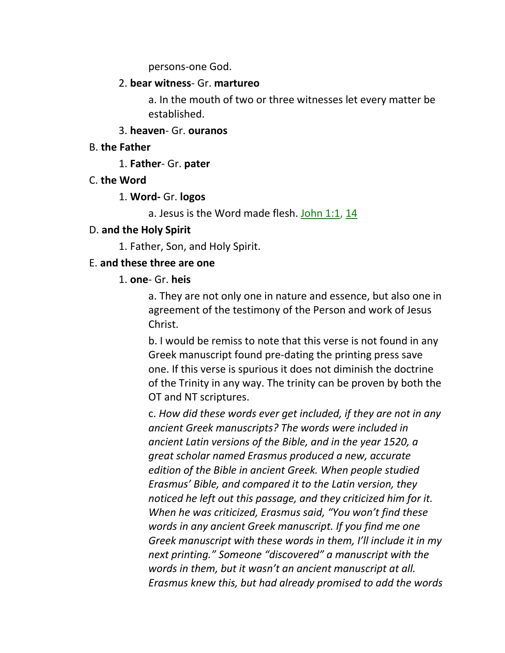persons-one God.

#### 2. **bear witness**- Gr. **martureo**

a. In the mouth of two or three witnesses let every matter be established.

#### 3. **heaven**- Gr. **ouranos**

#### B. **the Father**

1. **Father**- Gr. **pater**

### C. **the Word**

### 1. **Word-** Gr. **logos**

a. Jesus is the Word made flesh. John 1:1, 14

### D. **and the Holy Spirit**

1. Father, Son, and Holy Spirit.

### E. **and these three are one**

### 1. **one**- Gr. **heis**

a. They are not only one in nature and essence, but also one in agreement of the testimony of the Person and work of Jesus Christ.

b. I would be remiss to note that this verse is not found in any Greek manuscript found pre-dating the printing press save one. If this verse is spurious it does not diminish the doctrine of the Trinity in any way. The trinity can be proven by both the OT and NT scriptures.

c. *How did these words ever get included, if they are not in any ancient Greek manuscripts? The words were included in ancient Latin versions of the Bible, and in the year 1520, a great scholar named Erasmus produced a new, accurate edition of the Bible in ancient Greek. When people studied Erasmus' Bible, and compared it to the Latin version, they noticed he left out this passage, and they criticized him for it. When he was criticized, Erasmus said, "You won't find these words in any ancient Greek manuscript. If you find me one Greek manuscript with these words in them, I'll include it in my next printing." Someone "discovered" a manuscript with the words in them, but it wasn't an ancient manuscript at all. Erasmus knew this, but had already promised to add the words*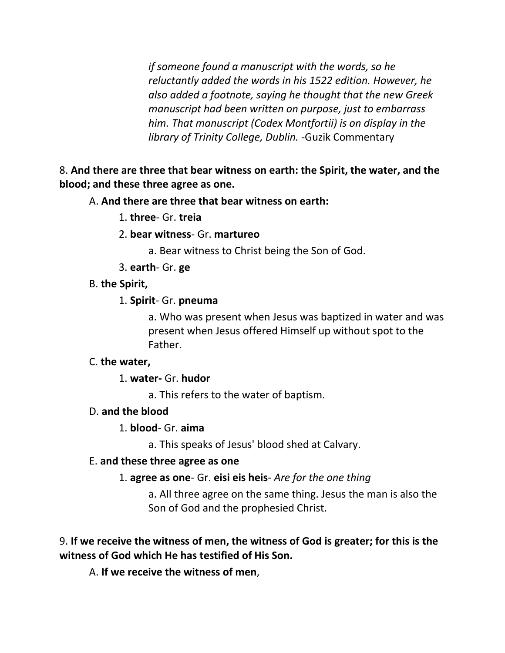*if someone found a manuscript with the words, so he reluctantly added the words in his 1522 edition. However, he also added a footnote, saying he thought that the new Greek manuscript had been written on purpose, just to embarrass him. That manuscript (Codex Montfortii) is on display in the library of Trinity College, Dublin.* -Guzik Commentary

## 8. **And there are three that bear witness on earth: the Spirit, the water, and the blood; and these three agree as one.**

## A. **And there are three that bear witness on earth:**

- 1. **three** Gr. **treia**
- 2. **bear witness** Gr. **martureo**
	- a. Bear witness to Christ being the Son of God.
- 3. **earth** Gr. **ge**
- B. **the Spirit,**
	- 1. **Spirit** Gr. **pneuma**

a. Who was present when Jesus was baptized in water and was present when Jesus offered Himself up without spot to the Father.

## C. **the water,**

1. **water-** Gr. **hudor**

a. This refers to the water of baptism.

## D. **and the blood**

## 1. **blood**- Gr. **aima**

a. This speaks of Jesus' blood shed at Calvary.

### E. **and these three agree as one**

1. **agree as one**- Gr. **eisi eis heis**- *Are for the one thing*

a. All three agree on the same thing. Jesus the man is also the Son of God and the prophesied Christ.

# 9. **If we receive the witness of men, the witness of God is greater; for this is the witness of God which He has testified of His Son.**

A. **If we receive the witness of men**,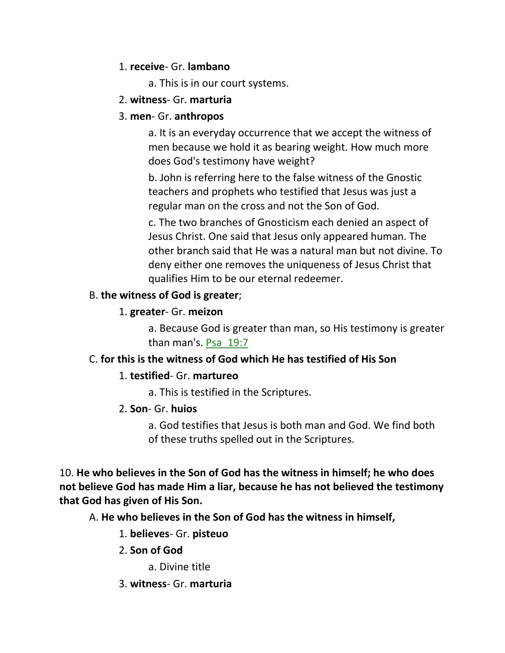## 1. **receive**- Gr. **lambano**

a. This is in our court systems.

## 2. **witness**- Gr. **marturia**

# 3. **men**- Gr. **anthropos**

a. It is an everyday occurrence that we accept the witness of men because we hold it as bearing weight. How much more does God's testimony have weight?

b. John is referring here to the false witness of the Gnostic teachers and prophets who testified that Jesus was just a regular man on the cross and not the Son of God.

c. The two branches of Gnosticism each denied an aspect of Jesus Christ. One said that Jesus only appeared human. The other branch said that He was a natural man but not divine. To deny either one removes the uniqueness of Jesus Christ that qualifies Him to be our eternal redeemer.

# B. **the witness of God is greater**;

# 1. **greater**- Gr. **meizon**

a. Because God is greater than man, so His testimony is greater than man's. Psa\_19:7

# C. **for this is the witness of God which He has testified of His Son**

# 1. **testified**- Gr. **martureo**

a. This is testified in the Scriptures.

# 2. **Son**- Gr. **huios**

a. God testifies that Jesus is both man and God. We find both of these truths spelled out in the Scriptures.

10. **He who believes in the Son of God has the witness in himself; he who does not believe God has made Him a liar, because he has not believed the testimony that God has given of His Son.** 

A. **He who believes in the Son of God has the witness in himself,**

# 1. **believes**- Gr. **pisteuo**

# 2. **Son of God**

a. Divine title

3. **witness**- Gr. **marturia**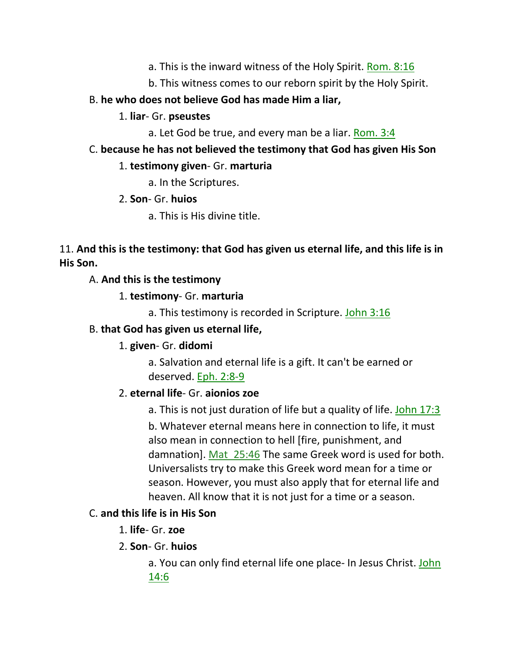- a. This is the inward witness of the Holy Spirit. Rom. 8:16
- b. This witness comes to our reborn spirit by the Holy Spirit.
- B. **he who does not believe God has made Him a liar,**
	- 1. **liar** Gr. **pseustes**
		- a. Let God be true, and every man be a liar. Rom. 3:4
- C. **because he has not believed the testimony that God has given His Son**

## 1. **testimony given**- Gr. **marturia**

- a. In the Scriptures.
- 2. **Son** Gr. **huios**
	- a. This is His divine title.

# 11. **And this is the testimony: that God has given us eternal life, and this life is in His Son.**

# A. **And this is the testimony**

- 1. **testimony** Gr. **marturia**
	- a. This testimony is recorded in Scripture. John 3:16

# B. **that God has given us eternal life,**

# 1. **given**- Gr. **didomi**

a. Salvation and eternal life is a gift. It can't be earned or deserved. Eph. 2:8-9

# 2. **eternal life**- Gr. **aionios zoe**

a. This is not just duration of life but a quality of life. John 17:3

b. Whatever eternal means here in connection to life, it must also mean in connection to hell [fire, punishment, and damnation]. Mat 25:46 The same Greek word is used for both. Universalists try to make this Greek word mean for a time or season. However, you must also apply that for eternal life and heaven. All know that it is not just for a time or a season.

# C. **and this life is in His Son**

- 1. **life** Gr. **zoe**
- 2. **Son** Gr. **huios**

a. You can only find eternal life one place- In Jesus Christ. John 14:6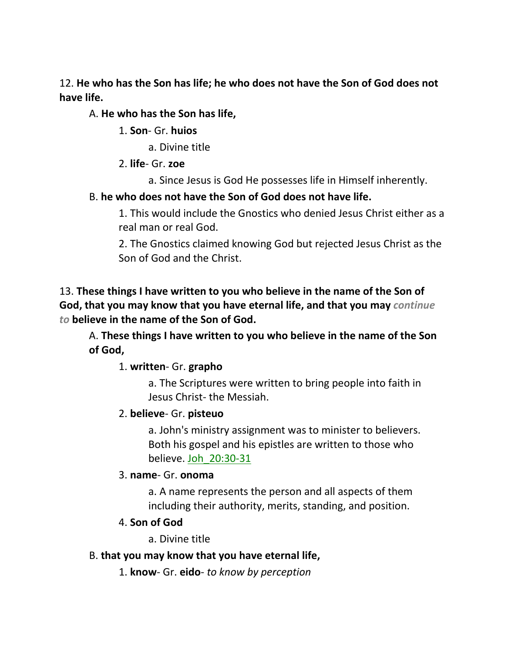12. **He who has the Son has life; he who does not have the Son of God does not have life.** 

## A. **He who has the Son has life,**

1. **Son**- Gr. **huios**

a. Divine title

- 2. **life** Gr. **zoe**
	- a. Since Jesus is God He possesses life in Himself inherently.

# B. **he who does not have the Son of God does not have life.**

1. This would include the Gnostics who denied Jesus Christ either as a real man or real God.

2. The Gnostics claimed knowing God but rejected Jesus Christ as the Son of God and the Christ.

13. **These things I have written to you who believe in the name of the Son of God, that you may know that you have eternal life, and that you may** *continue to* **believe in the name of the Son of God.**

A. **These things I have written to you who believe in the name of the Son of God,**

# 1. **written**- Gr. **grapho**

a. The Scriptures were written to bring people into faith in Jesus Christ- the Messiah.

# 2. **believe**- Gr. **pisteuo**

a. John's ministry assignment was to minister to believers. Both his gospel and his epistles are written to those who believe. Joh\_20:30-31

# 3. **name**- Gr. **onoma**

a. A name represents the person and all aspects of them including their authority, merits, standing, and position.

# 4. **Son of God**

a. Divine title

# B. **that you may know that you have eternal life,**

1. **know**- Gr. **eido**- *to know by perception*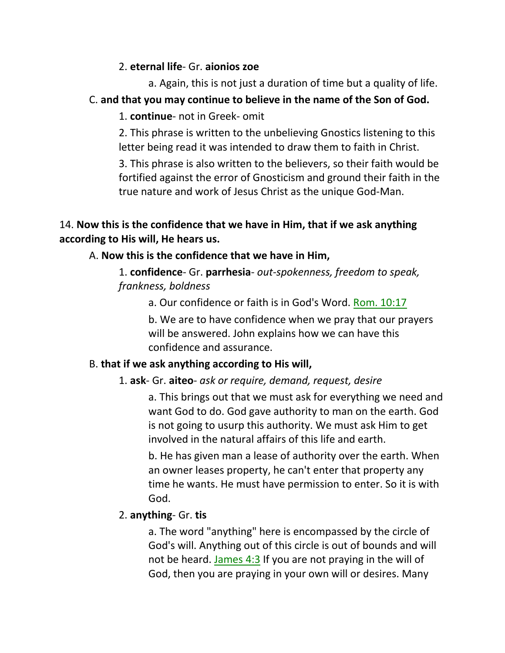## 2. **eternal life**- Gr. **aionios zoe**

a. Again, this is not just a duration of time but a quality of life.

# C. **and that you may continue to believe in the name of the Son of God.**

1. **continue**- not in Greek- omit

2. This phrase is written to the unbelieving Gnostics listening to this letter being read it was intended to draw them to faith in Christ.

3. This phrase is also written to the believers, so their faith would be fortified against the error of Gnosticism and ground their faith in the true nature and work of Jesus Christ as the unique God-Man.

# 14. **Now this is the confidence that we have in Him, that if we ask anything according to His will, He hears us.**

# A. **Now this is the confidence that we have in Him,**

1. **confidence**- Gr. **parrhesia**- *out-spokenness, freedom to speak, frankness, boldness*

a. Our confidence or faith is in God's Word. Rom. 10:17

b. We are to have confidence when we pray that our prayers will be answered. John explains how we can have this confidence and assurance.

# B. **that if we ask anything according to His will,**

# 1. **ask**- Gr. **aiteo**- *ask or require, demand, request, desire*

a. This brings out that we must ask for everything we need and want God to do. God gave authority to man on the earth. God is not going to usurp this authority. We must ask Him to get involved in the natural affairs of this life and earth.

b. He has given man a lease of authority over the earth. When an owner leases property, he can't enter that property any time he wants. He must have permission to enter. So it is with God.

# 2. **anything**- Gr. **tis**

a. The word "anything" here is encompassed by the circle of God's will. Anything out of this circle is out of bounds and will not be heard. James  $4:3$  If you are not praying in the will of God, then you are praying in your own will or desires. Many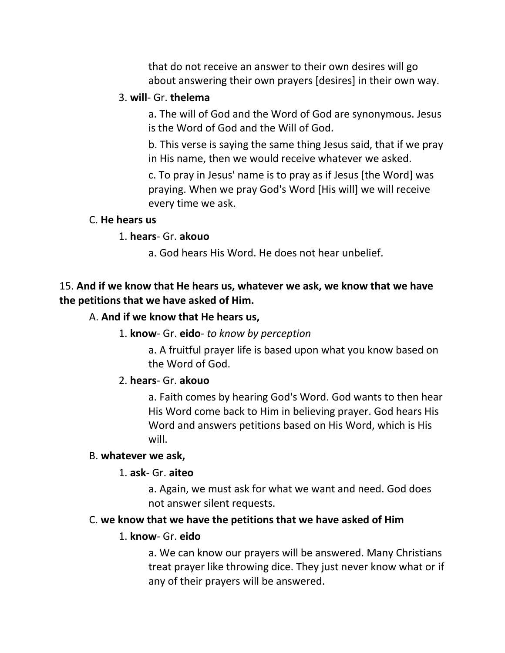that do not receive an answer to their own desires will go about answering their own prayers [desires] in their own way.

### 3. **will**- Gr. **thelema**

a. The will of God and the Word of God are synonymous. Jesus is the Word of God and the Will of God.

b. This verse is saying the same thing Jesus said, that if we pray in His name, then we would receive whatever we asked.

c. To pray in Jesus' name is to pray as if Jesus [the Word] was praying. When we pray God's Word [His will] we will receive every time we ask.

#### C. **He hears us**

#### 1. **hears**- Gr. **akouo**

a. God hears His Word. He does not hear unbelief.

## 15. **And if we know that He hears us, whatever we ask, we know that we have the petitions that we have asked of Him.**

### A. **And if we know that He hears us,**

### 1. **know**- Gr. **eido**- *to know by perception*

a. A fruitful prayer life is based upon what you know based on the Word of God.

### 2. **hears**- Gr. **akouo**

a. Faith comes by hearing God's Word. God wants to then hear His Word come back to Him in believing prayer. God hears His Word and answers petitions based on His Word, which is His will.

### B. **whatever we ask,**

### 1. **ask**- Gr. **aiteo**

a. Again, we must ask for what we want and need. God does not answer silent requests.

### C. **we know that we have the petitions that we have asked of Him**

### 1. **know**- Gr. **eido**

a. We can know our prayers will be answered. Many Christians treat prayer like throwing dice. They just never know what or if any of their prayers will be answered.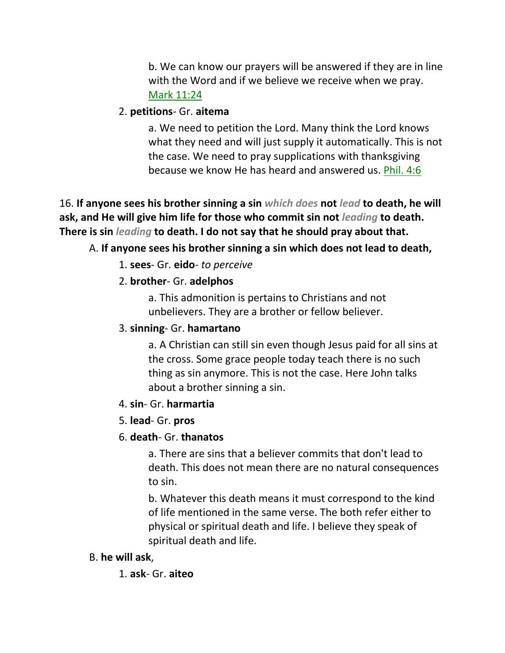b. We can know our prayers will be answered if they are in line with the Word and if we believe we receive when we pray. Mark 11:24

### 2. **petitions**- Gr. **aitema**

a. We need to petition the Lord. Many think the Lord knows what they need and will just supply it automatically. This is not the case. We need to pray supplications with thanksgiving because we know He has heard and answered us. Phil. 4:6

16. **If anyone sees his brother sinning a sin** *which does* **not** *lead* **to death, he will ask, and He will give him life for those who commit sin not** *leading* **to death. There is sin** *leading* **to death. I do not say that he should pray about that.** 

### A. **If anyone sees his brother sinning a sin which does not lead to death,**

1. **sees**- Gr. **eido**- *to perceive*

### 2. **brother**- Gr. **adelphos**

a. This admonition is pertains to Christians and not unbelievers. They are a brother or fellow believer.

#### 3. **sinning**- Gr. **hamartano**

a. A Christian can still sin even though Jesus paid for all sins at the cross. Some grace people today teach there is no such thing as sin anymore. This is not the case. Here John talks about a brother sinning a sin.

#### 4. **sin**- Gr. **harmartia**

### 5. **lead**- Gr. **pros**

### 6. **death**- Gr. **thanatos**

a. There are sins that a believer commits that don't lead to death. This does not mean there are no natural consequences to sin.

b. Whatever this death means it must correspond to the kind of life mentioned in the same verse. The both refer either to physical or spiritual death and life. I believe they speak of spiritual death and life.

#### B. **he will ask**,

1. **ask**- Gr. **aiteo**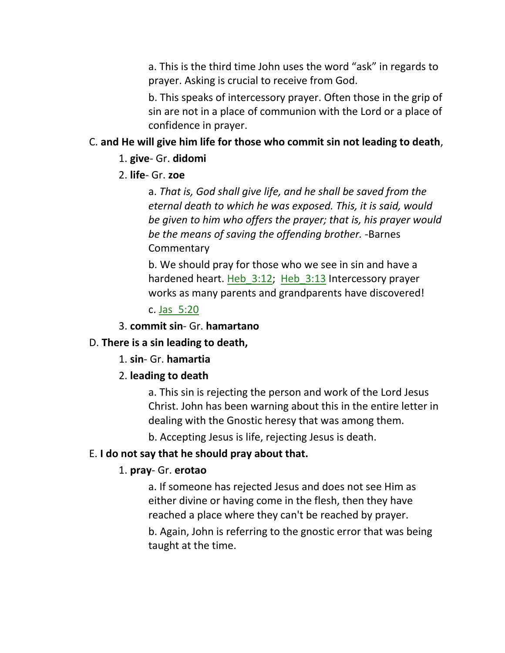a. This is the third time John uses the word "ask" in regards to prayer. Asking is crucial to receive from God.

b. This speaks of intercessory prayer. Often those in the grip of sin are not in a place of communion with the Lord or a place of confidence in prayer.

### C. **and He will give him life for those who commit sin not leading to death**,

#### 1. **give**- Gr. **didomi**

2. **life**- Gr. **zoe**

a. *That is, God shall give life, and he shall be saved from the eternal death to which he was exposed. This, it is said, would be given to him who offers the prayer; that is, his prayer would be the means of saving the offending brother.* -Barnes **Commentary** 

b. We should pray for those who we see in sin and have a hardened heart. Heb 3:12; Heb 3:13 Intercessory prayer works as many parents and grandparents have discovered!

c. Jas\_5:20

3. **commit sin**- Gr. **hamartano**

#### D. **There is a sin leading to death,**

1. **sin**- Gr. **hamartia**

### 2. **leading to death**

a. This sin is rejecting the person and work of the Lord Jesus Christ. John has been warning about this in the entire letter in dealing with the Gnostic heresy that was among them.

b. Accepting Jesus is life, rejecting Jesus is death.

#### E. **I do not say that he should pray about that.**

#### 1. **pray**- Gr. **erotao**

a. If someone has rejected Jesus and does not see Him as either divine or having come in the flesh, then they have reached a place where they can't be reached by prayer. b. Again, John is referring to the gnostic error that was being taught at the time.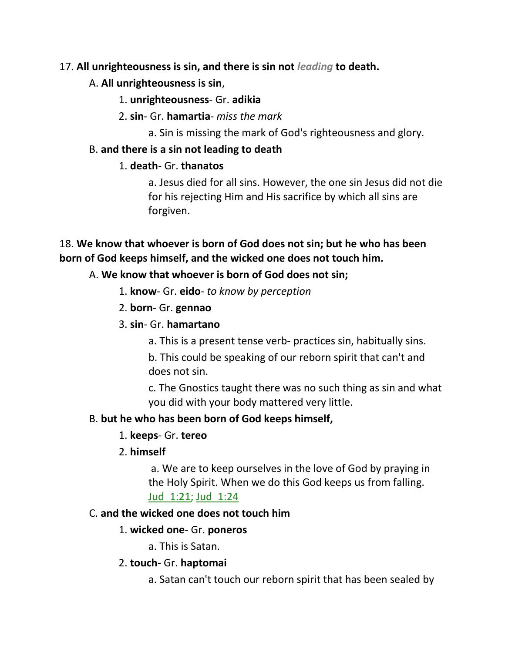## 17. **All unrighteousness is sin, and there is sin not** *leading* **to death.**

## A. **All unrighteousness is sin**,

## 1. **unrighteousness**- Gr. **adikia**

- 2. **sin** Gr. **hamartia** *miss the mark*
	- a. Sin is missing the mark of God's righteousness and glory.

## B. **and there is a sin not leading to death**

## 1. **death**- Gr. **thanatos**

a. Jesus died for all sins. However, the one sin Jesus did not die for his rejecting Him and His sacrifice by which all sins are forgiven.

# 18. **We know that whoever is born of God does not sin; but he who has been born of God keeps himself, and the wicked one does not touch him.**

## A. **We know that whoever is born of God does not sin;**

- 1. **know** Gr. **eido** *to know by perception*
- 2. **born** Gr. **gennao**
- 3. **sin** Gr. **hamartano**
	- a. This is a present tense verb- practices sin, habitually sins.

b. This could be speaking of our reborn spirit that can't and does not sin.

c. The Gnostics taught there was no such thing as sin and what you did with your body mattered very little.

# B. **but he who has been born of God keeps himself,**

- 1. **keeps** Gr. **tereo**
- 2. **himself**

a. We are to keep ourselves in the love of God by praying in the Holy Spirit. When we do this God keeps us from falling. Jud\_1:21; Jud\_1:24

# C. **and the wicked one does not touch him**

# 1. **wicked one**- Gr. **poneros**

a. This is Satan.

# 2. **touch-** Gr. **haptomai**

a. Satan can't touch our reborn spirit that has been sealed by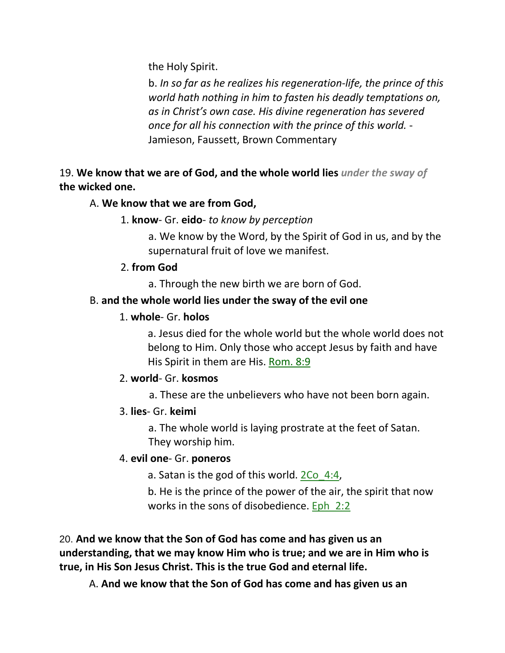the Holy Spirit.

b. *In so far as he realizes his regeneration-life, the prince of this world hath nothing in him to fasten his deadly temptations on, as in Christ's own case. His divine regeneration has severed once for all his connection with the prince of this world.* - Jamieson, Faussett, Brown Commentary

19. **We know that we are of God, and the whole world lies** *under the sway of* **the wicked one.**

# A. **We know that we are from God,**

1. **know**- Gr. **eido**- *to know by perception*

a. We know by the Word, by the Spirit of God in us, and by the supernatural fruit of love we manifest.

## 2. **from God**

a. Through the new birth we are born of God.

# B. **and the whole world lies under the sway of the evil one**

## 1. **whole**- Gr. **holos**

a. Jesus died for the whole world but the whole world does not belong to Him. Only those who accept Jesus by faith and have His Spirit in them are His. Rom. 8:9

# 2. **world**- Gr. **kosmos**

a. These are the unbelievers who have not been born again.

# 3. **lies**- Gr. **keimi**

a. The whole world is laying prostrate at the feet of Satan. They worship him.

# 4. **evil one**- Gr. **poneros**

a. Satan is the god of this world. 2Co\_4:4,

b. He is the prince of the power of the air, the spirit that now works in the sons of disobedience. Eph  $2:2$ 

20. **And we know that the Son of God has come and has given us an understanding, that we may know Him who is true; and we are in Him who is true, in His Son Jesus Christ. This is the true God and eternal life.**

A. **And we know that the Son of God has come and has given us an**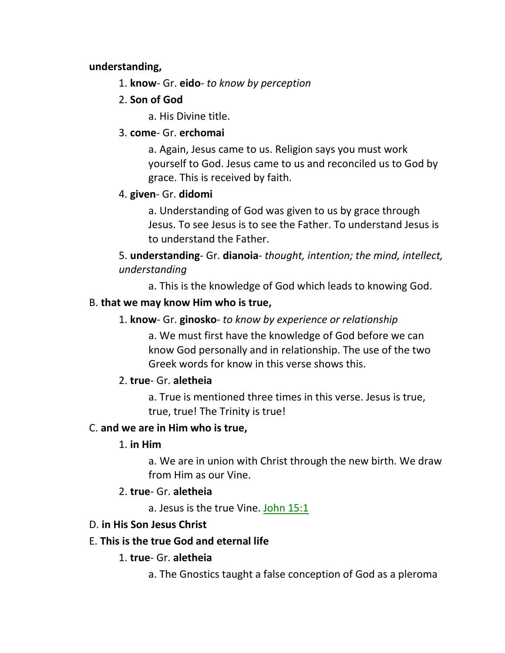### **understanding,**

- 1. **know** Gr. **eido** *to know by perception*
- 2. **Son of God**
	- a. His Divine title.

## 3. **come**- Gr. **erchomai**

a. Again, Jesus came to us. Religion says you must work yourself to God. Jesus came to us and reconciled us to God by grace. This is received by faith.

## 4. **given**- Gr. **didomi**

a. Understanding of God was given to us by grace through Jesus. To see Jesus is to see the Father. To understand Jesus is to understand the Father.

# 5. **understanding**- Gr. **dianoia**- *thought, intention; the mind, intellect, understanding*

a. This is the knowledge of God which leads to knowing God.

## B. **that we may know Him who is true,**

## 1. **know**- Gr. **ginosko**- *to know by experience or relationship*

a. We must first have the knowledge of God before we can know God personally and in relationship. The use of the two Greek words for know in this verse shows this.

# 2. **true**- Gr. **aletheia**

a. True is mentioned three times in this verse. Jesus is true, true, true! The Trinity is true!

## C. **and we are in Him who is true,**

## 1. **in Him**

a. We are in union with Christ through the new birth. We draw from Him as our Vine.

## 2. **true**- Gr. **aletheia**

a. Jesus is the true Vine. John 15:1

## D. **in His Son Jesus Christ**

# E. **This is the true God and eternal life**

## 1. **true**- Gr. **aletheia**

a. The Gnostics taught a false conception of God as a pleroma